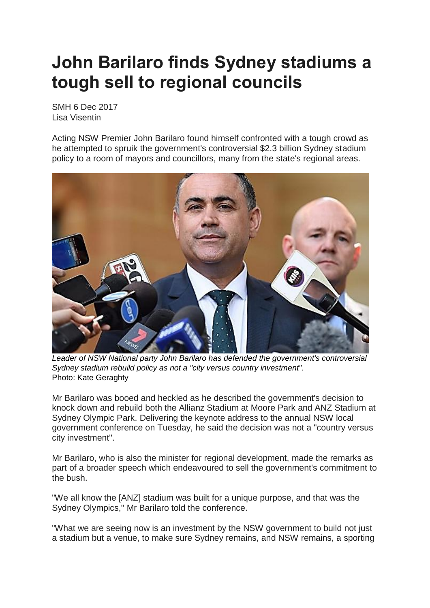## **John Barilaro finds Sydney stadiums a tough sell to regional councils**

SMH 6 Dec 2017 Lisa Visentin

Acting NSW Premier John Barilaro found himself confronted with a tough crowd as he attempted to spruik the government's controversial \$2.3 billion Sydney stadium policy to a room of mayors and councillors, many from the state's regional areas.



*Leader of NSW National party John Barilaro has defended the government's controversial Sydney stadium rebuild policy as not a "city versus country investment".* Photo: Kate Geraghty

Mr Barilaro was booed and heckled as he described the government's decision to knock down and rebuild both the Allianz Stadium at Moore Park and ANZ Stadium at Sydney Olympic Park. Delivering the keynote address to the annual NSW local government conference on Tuesday, he said the decision was not a "country versus city investment".

Mr Barilaro, who is also the minister for regional development, made the remarks as part of a broader speech which endeavoured to sell the government's commitment to the bush.

"We all know the [ANZ] stadium was built for a unique purpose, and that was the Sydney Olympics," Mr Barilaro told the conference.

"What we are seeing now is an investment by the NSW government to build not just a stadium but a venue, to make sure Sydney remains, and NSW remains, a sporting